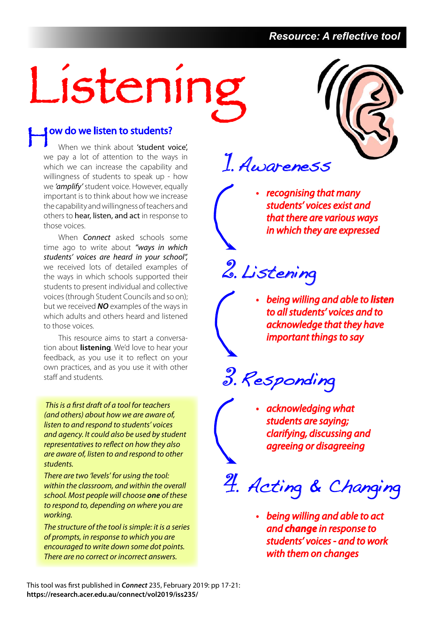#### *Resource: A reflective tool*

# Listening

### **J** ow do we listen to students?

When we think about 'student voice', we pay a lot of attention to the ways in which we can increase the capability and willingness of students to speak up - how we 'amplify' student voice. However, equally important is to think about how we increase the capability and willingness of teachers and others to hear, listen, and act in response to those voices.

When **Connect** asked schools some time ago to write about "ways in which students' voices are heard in your school", we received lots of detailed examples of the ways in which schools supported their students to present individual and collective voices (through Student Councils and so on); but we received **NO** examples of the ways in which adults and others heard and listened to those voices.

This resource aims to start a conversation about **listening**. We'd love to hear your feedback, as you use it to reflect on your own practices, and as you use it with other staff and students.

 This is a first draft of a tool for teachers (and others) about how we are aware of, listen to and respond to students' voices and agency. It could also be used by student representatives to reflect on how they also are aware of, listen to and respond to other students.

There are two 'levels' for using the tool: within the classroom, and within the overall school. Most people will choose **one** of these to respond to, depending on where you are working.

The structure of the tool is simple: it is a series of prompts, in response to which you are encouraged to write down some dot points. There are no correct or incorrect answers.



1. Awareness

• recognising that many students' voices exist and that there are various ways in which they are expressed

2. Listening

• being willing and able to **listen** to all students' voices and to acknowledge that they have important things to say

3. Responding

• acknowledging what students are saying; clarifying, discussing and agreeing or disagreeing

4. Acting & Changing

• being willing and able to act and **change** in response to students' voices - and to work with them on changes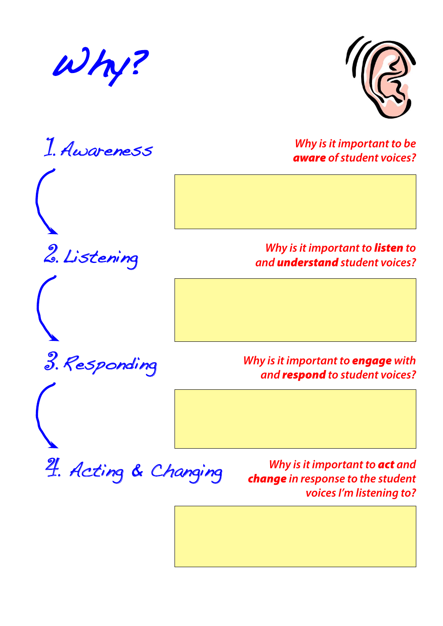





2. Listening

3. Responding

**Why is it important to be**  aware **of student voices?**

**Why is it important to** listen **to and** understand **student voices?**

**Why is it important to** engage **with and** respond **to student voices?**

4. Acting & Changing

**Why is it important to** act **and**  change **in response to the student voices I'm listening to?**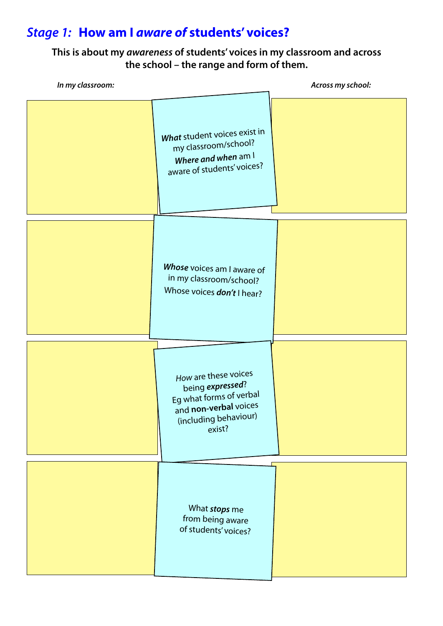# **Stage 1: How am I aware of students' voices?**

#### **This is about my awareness of students' voices in my classroom and across the school – the range and form of them.**

| In my classroom: |                                                                                                                                 | Across my school: |
|------------------|---------------------------------------------------------------------------------------------------------------------------------|-------------------|
|                  | What student voices exist in<br>my classroom/school?<br>Where and when am I<br>aware of students' voices?                       |                   |
|                  | Whose voices am I aware of<br>in my classroom/school?<br>Whose voices don't I hear?                                             |                   |
|                  | How are these voices<br>being expressed?<br>Eg what forms of verbal<br>and non-verbal voices<br>(including behaviour)<br>exist? |                   |
|                  | What stops me<br>from being aware<br>of students' voices?                                                                       |                   |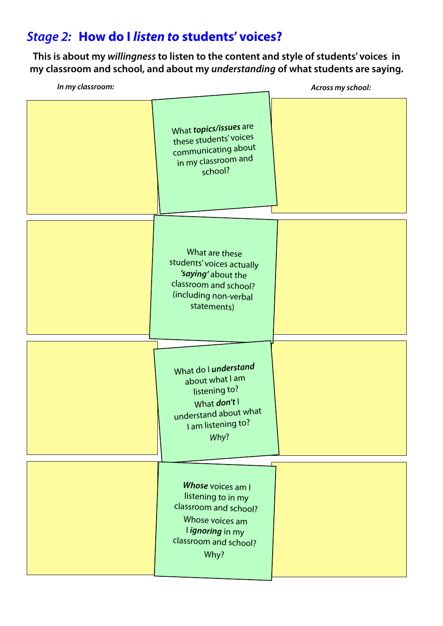## **Stage 2: How do I listen to students' voices?**

**This is about my willingness to listen to the content and style of students' voices in my classroom and school, and about my understanding of what students are saying.**

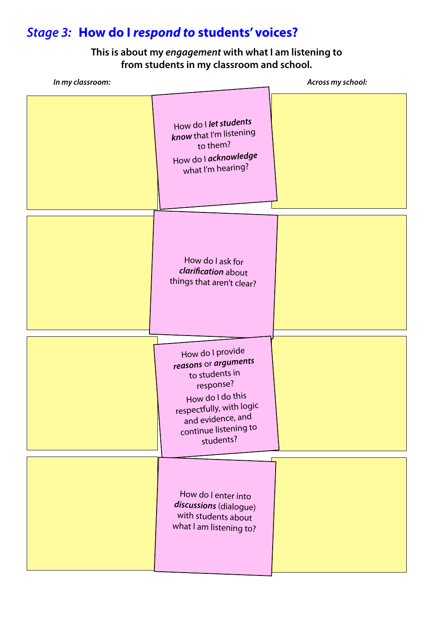# **Stage 3: How do I respond to students' voices?**

#### **This is about my engagement with what I am listening to from students in my classroom and school.**

| In my classroom: |                                                                                                                                                                                    | Across my school: |
|------------------|------------------------------------------------------------------------------------------------------------------------------------------------------------------------------------|-------------------|
|                  | How do I let students<br>know that I'm listening<br>to them?<br>How do I acknowledge<br>what I'm hearing?                                                                          |                   |
|                  | How do I ask for<br>clarification about<br>things that aren't clear?                                                                                                               |                   |
|                  | How do I provide<br>reasons or arguments<br>to students in<br>response?<br>How do I do this<br>respectfully, with logic<br>and evidence, and<br>continue listening to<br>students? |                   |
|                  | How do I enter into<br>discussions (dialogue)<br>with students about<br>what I am listening to?                                                                                    |                   |